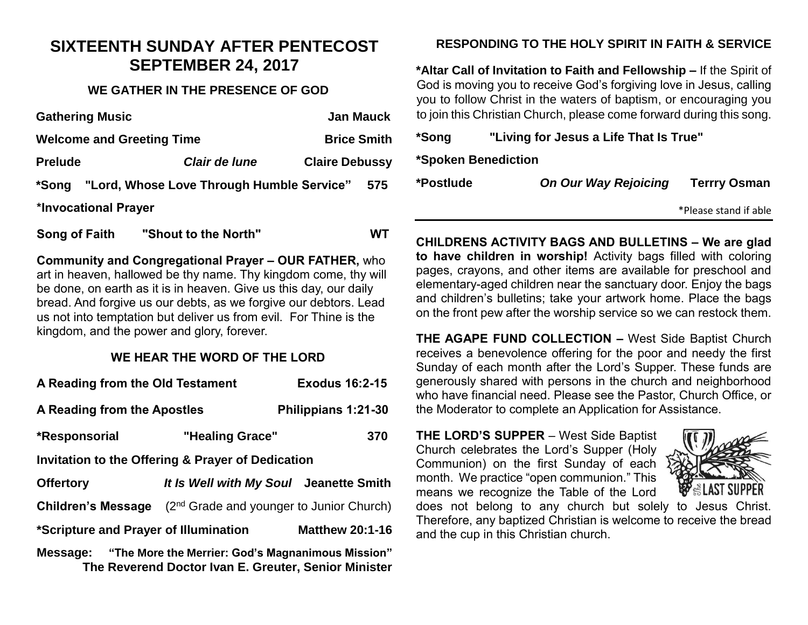## **SIXTEENTH SUNDAY AFTER PENTECOST SEPTEMBER 24, 2017**

#### **WE GATHER IN THE PRESENCE OF GOD**

| <b>Gathering Music</b>           | <b>Jan Mauck</b>                                |                       |     |  |  |
|----------------------------------|-------------------------------------------------|-----------------------|-----|--|--|
| <b>Welcome and Greeting Time</b> | <b>Brice Smith</b>                              |                       |     |  |  |
| <b>Prelude</b>                   | Clair de lune                                   | <b>Claire Debussy</b> |     |  |  |
|                                  | *Song "Lord, Whose Love Through Humble Service" |                       | 575 |  |  |
| *Invocational Prayer             |                                                 |                       |     |  |  |
|                                  |                                                 |                       |     |  |  |

**Song of Faith "Shout to the North" WT**

**Community and Congregational Prayer – OUR FATHER,** who art in heaven, hallowed be thy name. Thy kingdom come, thy will be done, on earth as it is in heaven. Give us this day, our daily bread. And forgive us our debts, as we forgive our debtors. Lead us not into temptation but deliver us from evil. For Thine is the kingdom, and the power and glory, forever.

#### **WE HEAR THE WORD OF THE LORD**

| A Reading from the Old Testament                                                                                   | <b>Exodus 16:2-15</b>                                |                        |  |  |  |
|--------------------------------------------------------------------------------------------------------------------|------------------------------------------------------|------------------------|--|--|--|
| A Reading from the Apostles                                                                                        |                                                      | Philippians 1:21-30    |  |  |  |
| *Responsorial                                                                                                      | "Healing Grace"                                      | 370                    |  |  |  |
| Invitation to the Offering & Prayer of Dedication                                                                  |                                                      |                        |  |  |  |
| <b>Offertory</b>                                                                                                   | It Is Well with My Soul Jeanette Smith               |                        |  |  |  |
| <b>Children's Message</b>                                                                                          | (2 <sup>nd</sup> Grade and younger to Junior Church) |                        |  |  |  |
| *Scripture and Prayer of Illumination                                                                              |                                                      | <b>Matthew 20:1-16</b> |  |  |  |
| Message: "The More the Merrier: God's Magnanimous Mission"<br>The Reverend Doctor Ivan E. Greuter, Senior Minister |                                                      |                        |  |  |  |

### **RESPONDING TO THE HOLY SPIRIT IN FAITH & SERVICE**

**\*Altar Call of Invitation to Faith and Fellowship –** If the Spirit of God is moving you to receive God's forgiving love in Jesus, calling you to follow Christ in the waters of baptism, or encouraging you to join this Christian Church, please come forward during this song.

**\*Song "Living for Jesus a Life That Is True"**

**\*Spoken Benediction**

**\*Postlude** *On Our Way Rejoicing* **Terrry Osman**

\*Please stand if able

**CHILDRENS ACTIVITY BAGS AND BULLETINS – We are glad to have children in worship!** Activity bags filled with coloring pages, crayons, and other items are available for preschool and elementary-aged children near the sanctuary door. Enjoy the bags and children's bulletins; take your artwork home. Place the bags on the front pew after the worship service so we can restock them.

**THE AGAPE FUND COLLECTION –** West Side Baptist Church receives a benevolence offering for the poor and needy the first Sunday of each month after the Lord's Supper. These funds are generously shared with persons in the church and neighborhood who have financial need. Please see the Pastor, Church Office, or the Moderator to complete an Application for Assistance.

**THE LORD'S SUPPER** – West Side Baptist Church celebrates the Lord's Supper (Holy Communion) on the first Sunday of each month. We practice "open communion." This means we recognize the Table of the Lord



does not belong to any church but solely to Jesus Christ. Therefore, any baptized Christian is welcome to receive the bread and the cup in this Christian church.